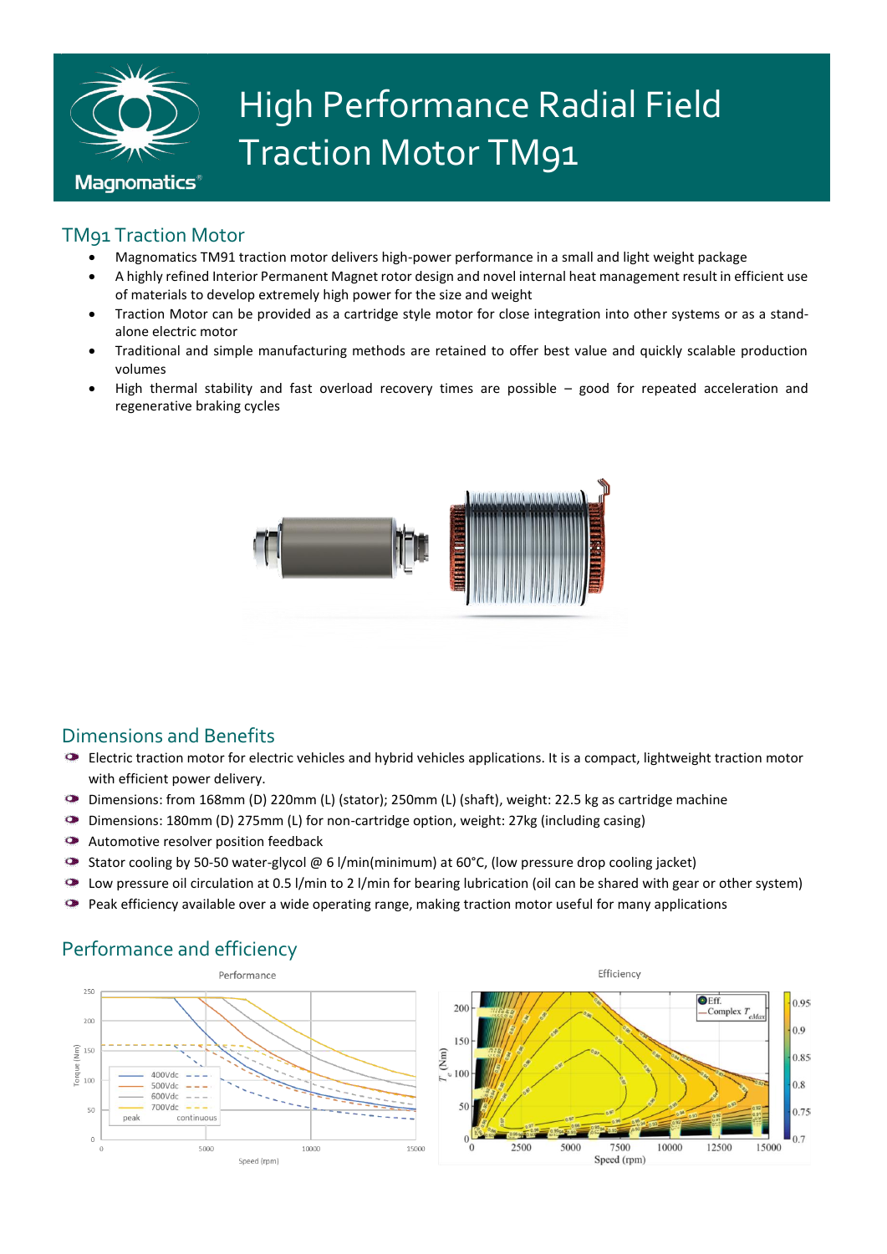

# High Performance Radial Field Traction Motor TM91

### TM91 Traction Motor

- Magnomatics TM91 traction motor delivers high-power performance in a small and light weight package
- A highly refined Interior Permanent Magnet rotor design and novel internal heat management result in efficient use of materials to develop extremely high power for the size and weight
- Traction Motor can be provided as a cartridge style motor for close integration into other systems or as a standalone electric motor
- Traditional and simple manufacturing methods are retained to offer best value and quickly scalable production volumes
- High thermal stability and fast overload recovery times are possible good for repeated acceleration and regenerative braking cycles



#### Dimensions and Benefits

- Electric traction motor for electric vehicles and hybrid vehicles applications. It is a compact, lightweight traction motor with efficient power delivery.
- Dimensions: from 168mm (D) 220mm (L) (stator); 250mm (L) (shaft), weight: 22.5 kg as cartridge machine
- $\bullet$ Dimensions: 180mm (D) 275mm (L) for non-cartridge option, weight: 27kg (including casing)
- $\bullet$ Automotive resolver position feedback
- $\bullet$ Stator cooling by 50-50 water-glycol @ 6 l/min(minimum) at 60°C, (low pressure drop cooling jacket)
- $\bullet$ Low pressure oil circulation at 0.5 l/min to 2 l/min for bearing lubrication (oil can be shared with gear or other system)
- $\bullet$ Peak efficiency available over a wide operating range, making traction motor useful for many applications



#### Performance and efficiency